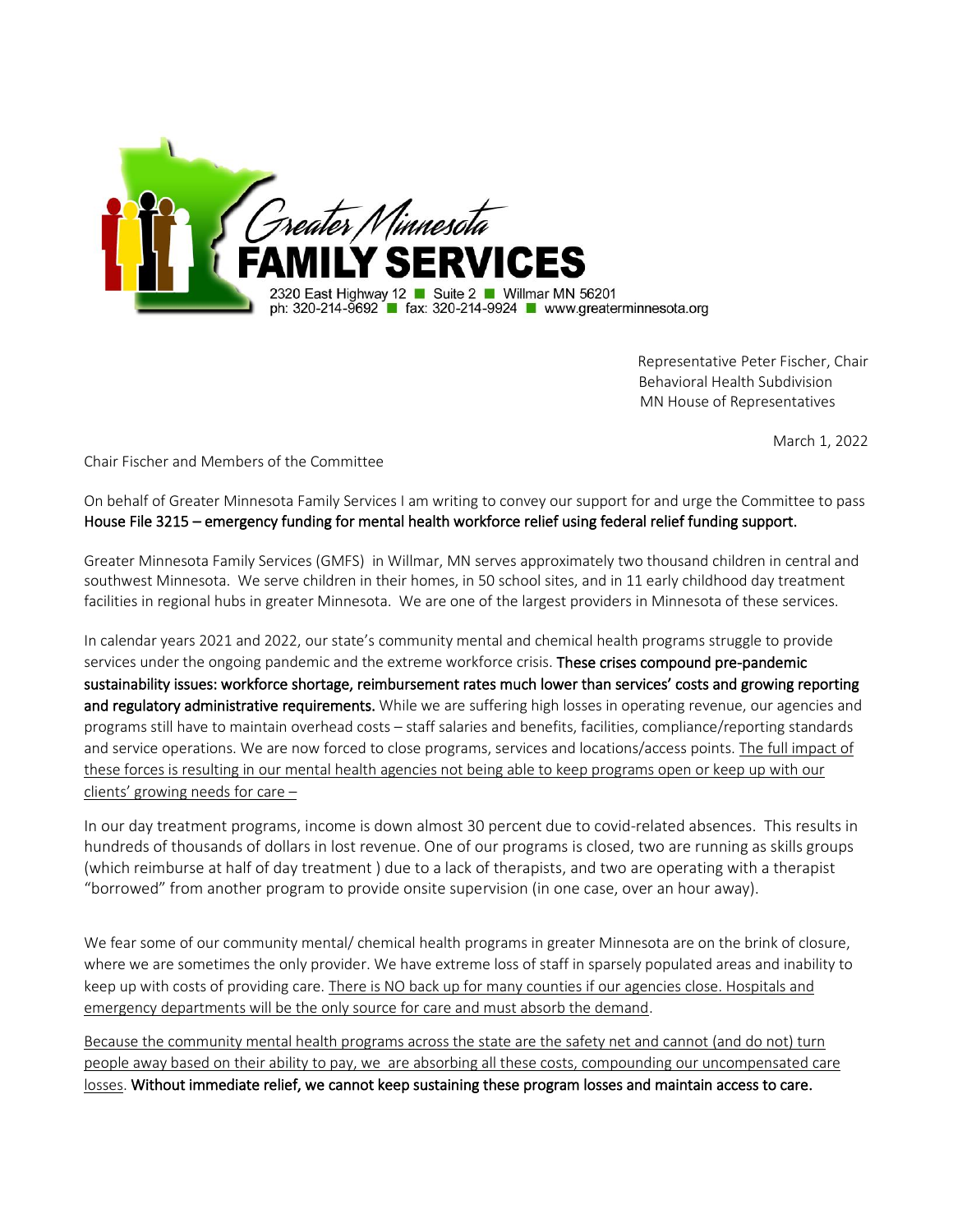

 Representative Peter Fischer, Chair Behavioral Health Subdivision MN House of Representatives

March 1, 2022

Chair Fischer and Members of the Committee

On behalf of Greater Minnesota Family Services I am writing to convey our support for and urge the Committee to pass House File 3215 – emergency funding for mental health workforce relief using federal relief funding support.

Greater Minnesota Family Services (GMFS) in Willmar, MN serves approximately two thousand children in central and southwest Minnesota. We serve children in their homes, in 50 school sites, and in 11 early childhood day treatment facilities in regional hubs in greater Minnesota. We are one of the largest providers in Minnesota of these services.

In calendar years 2021 and 2022, our state's community mental and chemical health programs struggle to provide services under the ongoing pandemic and the extreme workforce crisis. These crises compound pre-pandemic sustainability issues: workforce shortage, reimbursement rates much lower than services' costs and growing reporting and regulatory administrative requirements. While we are suffering high losses in operating revenue, our agencies and programs still have to maintain overhead costs – staff salaries and benefits, facilities, compliance/reporting standards and service operations. We are now forced to close programs, services and locations/access points. The full impact of these forces is resulting in our mental health agencies not being able to keep programs open or keep up with our clients' growing needs for care –

In our day treatment programs, income is down almost 30 percent due to covid-related absences. This results in hundreds of thousands of dollars in lost revenue. One of our programs is closed, two are running as skills groups (which reimburse at half of day treatment ) due to a lack of therapists, and two are operating with a therapist "borrowed" from another program to provide onsite supervision (in one case, over an hour away).

We fear some of our community mental/ chemical health programs in greater Minnesota are on the brink of closure, where we are sometimes the only provider. We have extreme loss of staff in sparsely populated areas and inability to keep up with costs of providing care. There is NO back up for many counties if our agencies close. Hospitals and emergency departments will be the only source for care and must absorb the demand.

Because the community mental health programs across the state are the safety net and cannot (and do not) turn people away based on their ability to pay, we are absorbing all these costs, compounding our uncompensated care losses. Without immediate relief, we cannot keep sustaining these program losses and maintain access to care.